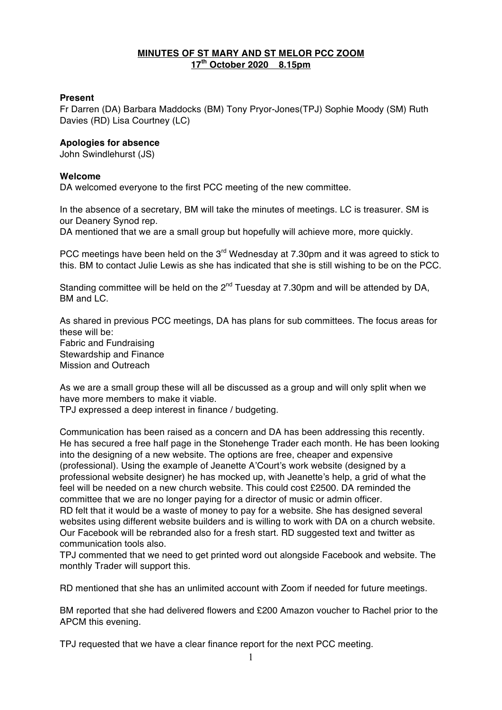## **MINUTES OF ST MARY AND ST MELOR PCC ZOOM 17th October 2020 8.15pm**

## **Present**

Fr Darren (DA) Barbara Maddocks (BM) Tony Pryor-Jones(TPJ) Sophie Moody (SM) Ruth Davies (RD) Lisa Courtney (LC)

## **Apologies for absence**

John Swindlehurst (JS)

## **Welcome**

DA welcomed everyone to the first PCC meeting of the new committee.

In the absence of a secretary, BM will take the minutes of meetings. LC is treasurer. SM is our Deanery Synod rep.

DA mentioned that we are a small group but hopefully will achieve more, more quickly.

PCC meetings have been held on the 3<sup>rd</sup> Wednesday at 7.30pm and it was agreed to stick to this. BM to contact Julie Lewis as she has indicated that she is still wishing to be on the PCC.

Standing committee will be held on the  $2^{nd}$  Tuesday at 7.30pm and will be attended by DA, BM and LC.

As shared in previous PCC meetings, DA has plans for sub committees. The focus areas for these will be: Fabric and Fundraising Stewardship and Finance

Mission and Outreach

As we are a small group these will all be discussed as a group and will only split when we have more members to make it viable.

TPJ expressed a deep interest in finance / budgeting.

Communication has been raised as a concern and DA has been addressing this recently. He has secured a free half page in the Stonehenge Trader each month. He has been looking into the designing of a new website. The options are free, cheaper and expensive (professional). Using the example of Jeanette A'Court's work website (designed by a professional website designer) he has mocked up, with Jeanette's help, a grid of what the feel will be needed on a new church website. This could cost £2500. DA reminded the committee that we are no longer paying for a director of music or admin officer. RD felt that it would be a waste of money to pay for a website. She has designed several websites using different website builders and is willing to work with DA on a church website. Our Facebook will be rebranded also for a fresh start. RD suggested text and twitter as communication tools also.

TPJ commented that we need to get printed word out alongside Facebook and website. The monthly Trader will support this.

RD mentioned that she has an unlimited account with Zoom if needed for future meetings.

BM reported that she had delivered flowers and £200 Amazon voucher to Rachel prior to the APCM this evening.

TPJ requested that we have a clear finance report for the next PCC meeting.